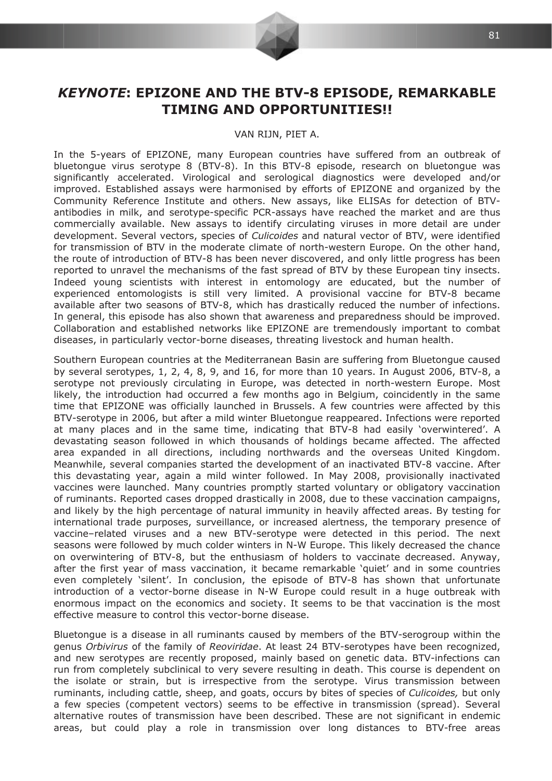

## **KEYNOTE: EPIZONE AND THE BTV-8 EPISODE, REMARKABLE TIMING AND OPPORTUNITIES!!**

## VAN RIJN, PIET A.

In the 5-years of EPIZONE, many European countries have suffered from an outbreak of bluetongue virus serotype 8 (BTV-8). In this BTV-8 episode, research on bluetongue was significantly accelerated. Virological and serological diagnostics were developed and/or improved. Established assays were harmonised by efforts of EPIZONE and organized by the Community Reference Institute and others. New assays, like ELISAs for detection of BTVantibodies in milk, and serotype-specific PCR-assays have reached the market and are thus commercially available. New assays to identify circulating viruses in more detail are under development. Several vectors, species of *Culicoides* and natural vector of BTV, were identified for transmission of BTV in the moderate climate of north-western Europe. On the other hand, the route of introduction of BTV-8 has been never discovered, and only little progress has been reported to unravel the mechanisms of the fast spread of BTV by these European tiny insects. Indeed young scientists with interest in entomology are educated, but the number of experienced entomologists is still very limited. A provisional vaccine for BTV-8 became available after two seasons of BTV-8, which has drastically reduced the number of infections. In general, this episode has also shown that awareness and preparedness should be improved. Collaboration and established networks like EPIZONE are tremendously important to combat diseases, in particularly vector-borne diseases, threating livestock and human health.

Southern European countries at the Mediterranean Basin are suffering from Bluetongue caused by several serotypes, 1, 2, 4, 8, 9, and 16, for more than 10 years. In August 2006, BTV-8, a serotype not previously circulating in Europe, was detected in north-western Europe. Most likely, the introduction had occurred a few months ago in Belgium, coincidently in the same time that EPIZONE was officially launched in Brussels. A few countries were affected by this BTV-serotype in 2006, but after a mild winter Bluetongue reappeared. Infections were reported at many places and in the same time, indicating that BTV-8 had easily 'overwintered'. A devastating season followed in which thousands of holdings became affected. The affected area expanded in all directions, including northwards and the overseas United Kingdom. Meanwhile, several companies started the development of an inactivated BTV-8 vaccine. After this devastating year, again a mild winter followed. In May 2008, provisionally inactivated vaccines were launched. Many countries promptly started voluntary or obligatory vaccination of ruminants. Reported cases dropped drastically in 2008, due to these vaccination campaigns, and likely by the high percentage of natural immunity in heavily affected areas. By testing for international trade purposes, surveillance, or increased alertness, the temporary presence of vaccine-related viruses and a new BTV-serotype were detected in this period. The next seasons were followed by much colder winters in N-W Europe. This likely decreased the chance on overwintering of BTV-8, but the enthusiasm of holders to vaccinate decreased. Anyway, after the first year of mass vaccination, it became remarkable 'quiet' and in some countries even completely 'silent'. In conclusion, the episode of BTV-8 has shown that unfortunate introduction of a vector-borne disease in N-W Europe could result in a huge outbreak with enormous impact on the economics and society. It seems to be that vaccination is the most effective measure to control this vector-borne disease.

Bluetongue is a disease in all ruminants caused by members of the BTV-serogroup within the genus Orbivirus of the family of Reoviridae. At least 24 BTV-serotypes have been recognized, and new serotypes are recently proposed, mainly based on genetic data. BTV-infections can run from completely subclinical to very severe resulting in death. This course is dependent on the isolate or strain, but is irrespective from the serotype. Virus transmission between ruminants, including cattle, sheep, and goats, occurs by bites of species of Culicoides, but only a few species (competent vectors) seems to be effective in transmission (spread). Several alternative routes of transmission have been described. These are not significant in endemic areas, but could play a role in transmission over long distances to BTV-free areas